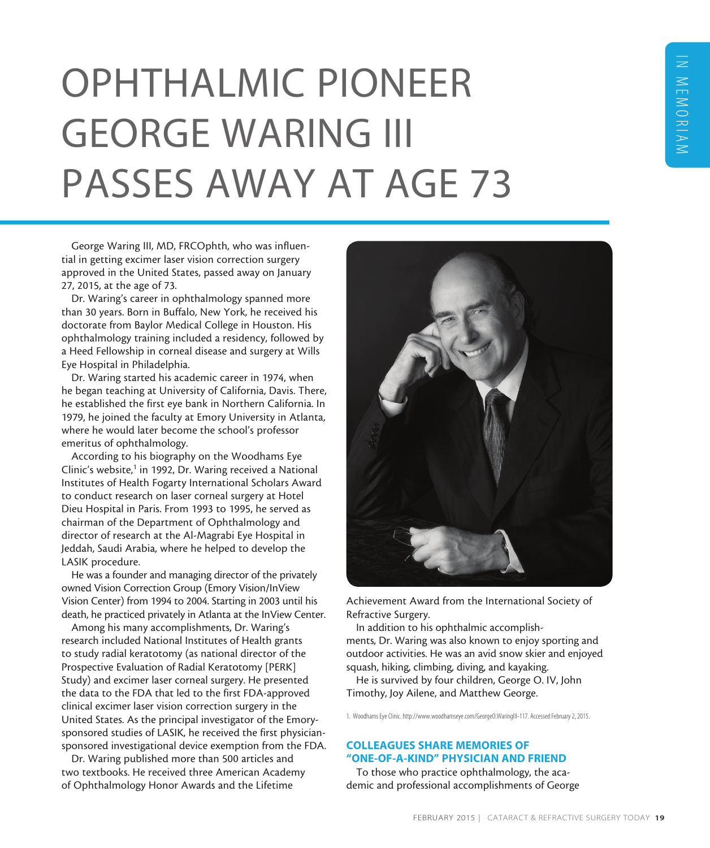# OPHTHALMIC PIONEER GEORGE WARING III PASSES AWAY AT AGE 73

George Waring III, MD, FRCOphth, who was influential in getting excimer laser vision correction surgery approved in the United States, passed away on January 27, 2015, at the age of 73.

Dr. Waring's career in ophthalmology spanned more than 30 years. Born in Buffalo, New York, he received his doctorate from Baylor Medical College in Houston. His ophthalmology training included a residency, followed by a Heed Fellowship in corneal disease and surgery at Wills Eye Hospital in Philadelphia.

Dr. Waring started his academic career in 1974, when he began teaching at University of California, Davis. There, he established the first eye bank in Northern California. In 1979, he joined the faculty at Emory University in Atlanta, where he would later become the school's professor emeritus of ophthalmology.

According to his biography on the Woodhams Eye Clinic's website,<sup>1</sup> in 1992, Dr. Waring received a National Institutes of Health Fogarty International Scholars Award to conduct research on laser corneal surgery at Hotel Dieu Hospital in Paris. From 1993 to 1995, he served as chairman of the Department of Ophthalmology and director of research at the Al-Magrabi Eye Hospital in Jeddah, Saudi Arabia, where he helped to develop the LASIK procedure.

He was a founder and managing director of the privately owned Vision Correction Group (Emory Vision/InView Vision Center) from 1994 to 2004. Starting in 2003 until his death, he practiced privately in Atlanta at the InView Center.

Among his many accomplishments, Dr. Waring's research included National Institutes of Health grants to study radial keratotomy (as national director of the Prospective Evaluation of Radial Keratotomy [PERK] Study) and excimer laser corneal surgery. He presented the data to the FDA that led to the first FDA-approved clinical excimer laser vision correction surgery in the United States. As the principal investigator of the Emorysponsored studies of LASIK, he received the first physiciansponsored investigational device exemption from the FDA.

Dr. Waring published more than 500 articles and two textbooks. He received three American Academy of Ophthalmology Honor Awards and the Lifetime



Achievement Award from the International Society of Refractive Surgery.

In addition to his ophthalmic accomplishments, Dr. Waring was also known to enjoy sporting and outdoor activities. He was an avid snow skier and enjoyed squash, hiking, climbing, diving, and kayaking.

He is survived by four children, George O. IV, John Timothy, Joy Ailene, and Matthew George.

1. Woodhams Eye Clinic. http://www.woodhamseye.com/GeorgeO.WaringIII-117. Accessed February 2, 2015.

# COLLEAGUES SHARE MEMORIES OF "ONE-OF-A-KIND" PHYSICIAN AND FRIEND

To those who practice ophthalmology, the academic and professional accomplishments of George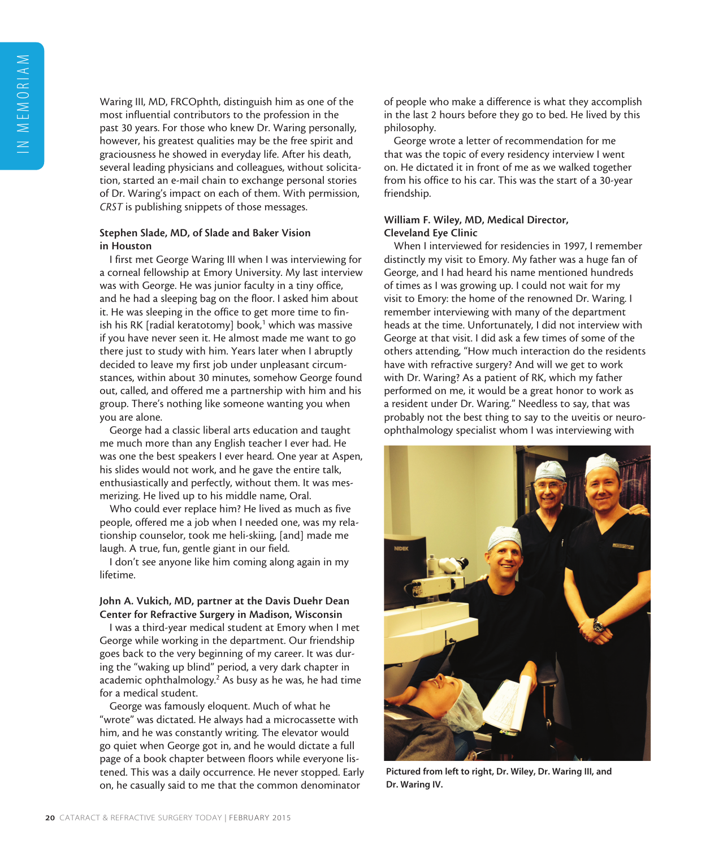Waring III, MD, FRCOphth, distinguish him as one of the most influential contributors to the profession in the past 30 years. For those who knew Dr. Waring personally, however, his greatest qualities may be the free spirit and graciousness he showed in everyday life. After his death, several leading physicians and colleagues, without solicitation, started an e-mail chain to exchange personal stories of Dr. Waring's impact on each of them. With permission, *CRST* is publishing snippets of those messages.

### Stephen Slade, MD, of Slade and Baker Vision in Houston

I first met George Waring III when I was interviewing for a corneal fellowship at Emory University. My last interview was with George. He was junior faculty in a tiny office, and he had a sleeping bag on the floor. I asked him about it. He was sleeping in the office to get more time to finish his RK [radial keratotomy] book,<sup>1</sup> which was massive if you have never seen it. He almost made me want to go there just to study with him. Years later when I abruptly decided to leave my first job under unpleasant circumstances, within about 30 minutes, somehow George found out, called, and offered me a partnership with him and his group. There's nothing like someone wanting you when you are alone.

George had a classic liberal arts education and taught me much more than any English teacher I ever had. He was one the best speakers I ever heard. One year at Aspen, his slides would not work, and he gave the entire talk, enthusiastically and perfectly, without them. It was mesmerizing. He lived up to his middle name, Oral.

Who could ever replace him? He lived as much as five people, offered me a job when I needed one, was my relationship counselor, took me heli-skiing, [and] made me laugh. A true, fun, gentle giant in our field.

I don't see anyone like him coming along again in my lifetime.

#### John A. Vukich, MD, partner at the Davis Duehr Dean Center for Refractive Surgery in Madison, Wisconsin

I was a third-year medical student at Emory when I met George while working in the department. Our friendship goes back to the very beginning of my career. It was during the "waking up blind" period, a very dark chapter in academic ophthalmology.<sup>2</sup> As busy as he was, he had time for a medical student.

George was famously eloquent. Much of what he "wrote" was dictated. He always had a microcassette with him, and he was constantly writing. The elevator would go quiet when George got in, and he would dictate a full page of a book chapter between floors while everyone listened. This was a daily occurrence. He never stopped. Early on, he casually said to me that the common denominator

of people who make a difference is what they accomplish in the last 2 hours before they go to bed. He lived by this philosophy.

George wrote a letter of recommendation for me that was the topic of every residency interview I went on. He dictated it in front of me as we walked together from his office to his car. This was the start of a 30-year friendship.

# William F. Wiley, MD, Medical Director, Cleveland Eye Clinic

When I interviewed for residencies in 1997, I remember distinctly my visit to Emory. My father was a huge fan of George, and I had heard his name mentioned hundreds of times as I was growing up. I could not wait for my visit to Emory: the home of the renowned Dr. Waring. I remember interviewing with many of the department heads at the time. Unfortunately, I did not interview with George at that visit. I did ask a few times of some of the others attending, "How much interaction do the residents have with refractive surgery? And will we get to work with Dr. Waring? As a patient of RK, which my father performed on me, it would be a great honor to work as a resident under Dr. Waring." Needless to say, that was probably not the best thing to say to the uveitis or neuroophthalmology specialist whom I was interviewing with



Pictured from left to right, Dr. Wiley, Dr. Waring III, and Dr. Waring IV.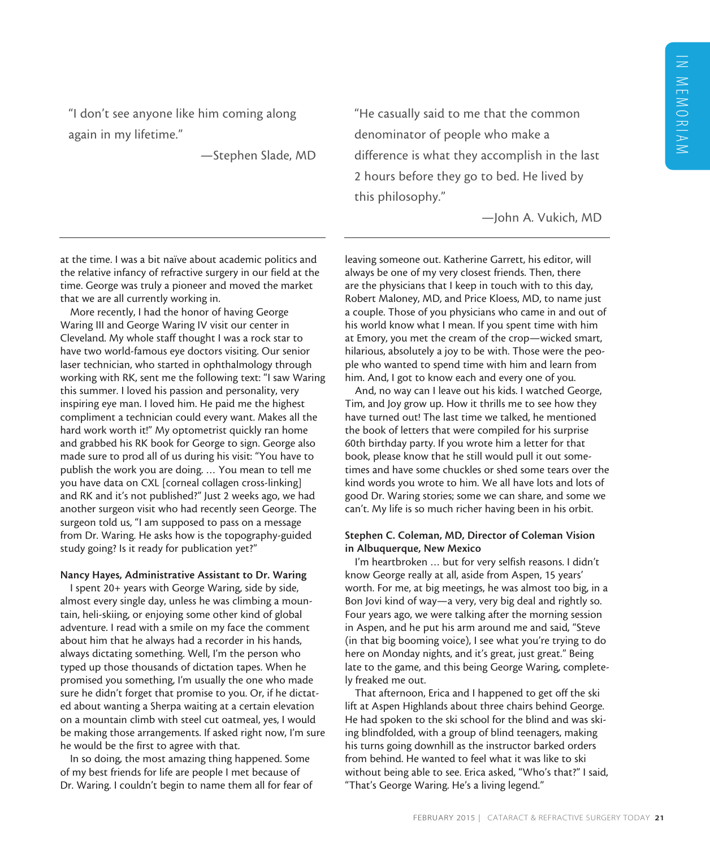"I don't see anyone like him coming along again in my lifetime."

—Stephen Slade, MD

"He casually said to me that the common denominator of people who make a difference is what they accomplish in the last 2 hours before they go to bed. He lived by this philosophy."

—John A. Vukich, MD

at the time. I was a bit naïve about academic politics and the relative infancy of refractive surgery in our field at the time. George was truly a pioneer and moved the market that we are all currently working in.

More recently, I had the honor of having George Waring III and George Waring IV visit our center in Cleveland. My whole staff thought I was a rock star to have two world-famous eye doctors visiting. Our senior laser technician, who started in ophthalmology through working with RK, sent me the following text: "I saw Waring this summer. I loved his passion and personality, very inspiring eye man. I loved him. He paid me the highest compliment a technician could every want. Makes all the hard work worth it!" My optometrist quickly ran home and grabbed his RK book for George to sign. George also made sure to prod all of us during his visit: "You have to publish the work you are doing. … You mean to tell me you have data on CXL [corneal collagen cross-linking] and RK and it's not published?" Just 2 weeks ago, we had another surgeon visit who had recently seen George. The surgeon told us, "I am supposed to pass on a message from Dr. Waring. He asks how is the topography-guided study going? Is it ready for publication yet?"

#### Nancy Hayes, Administrative Assistant to Dr. Waring

I spent 20+ years with George Waring, side by side, almost every single day, unless he was climbing a mountain, heli-skiing, or enjoying some other kind of global adventure. I read with a smile on my face the comment about him that he always had a recorder in his hands, always dictating something. Well, I'm the person who typed up those thousands of dictation tapes. When he promised you something, I'm usually the one who made sure he didn't forget that promise to you. Or, if he dictated about wanting a Sherpa waiting at a certain elevation on a mountain climb with steel cut oatmeal, yes, I would be making those arrangements. If asked right now, I'm sure he would be the first to agree with that.

In so doing, the most amazing thing happened. Some of my best friends for life are people I met because of Dr. Waring. I couldn't begin to name them all for fear of leaving someone out. Katherine Garrett, his editor, will always be one of my very closest friends. Then, there are the physicians that I keep in touch with to this day, Robert Maloney, MD, and Price Kloess, MD, to name just a couple. Those of you physicians who came in and out of his world know what I mean. If you spent time with him at Emory, you met the cream of the crop—wicked smart, hilarious, absolutely a joy to be with. Those were the people who wanted to spend time with him and learn from him. And, I got to know each and every one of you.

And, no way can I leave out his kids. I watched George, Tim, and Joy grow up. How it thrills me to see how they have turned out! The last time we talked, he mentioned the book of letters that were compiled for his surprise 60th birthday party. If you wrote him a letter for that book, please know that he still would pull it out sometimes and have some chuckles or shed some tears over the kind words you wrote to him. We all have lots and lots of good Dr. Waring stories; some we can share, and some we can't. My life is so much richer having been in his orbit.

#### Stephen C. Coleman, MD, Director of Coleman Vision in Albuquerque, New Mexico

I'm heartbroken … but for very selfish reasons. I didn't know George really at all, aside from Aspen, 15 years' worth. For me, at big meetings, he was almost too big, in a Bon Jovi kind of way—a very, very big deal and rightly so. Four years ago, we were talking after the morning session in Aspen, and he put his arm around me and said, "Steve (in that big booming voice), I see what you're trying to do here on Monday nights, and it's great, just great." Being late to the game, and this being George Waring, completely freaked me out.

That afternoon, Erica and I happened to get off the ski lift at Aspen Highlands about three chairs behind George. He had spoken to the ski school for the blind and was skiing blindfolded, with a group of blind teenagers, making his turns going downhill as the instructor barked orders from behind. He wanted to feel what it was like to ski without being able to see. Erica asked, "Who's that?" I said, "That's George Waring. He's a living legend."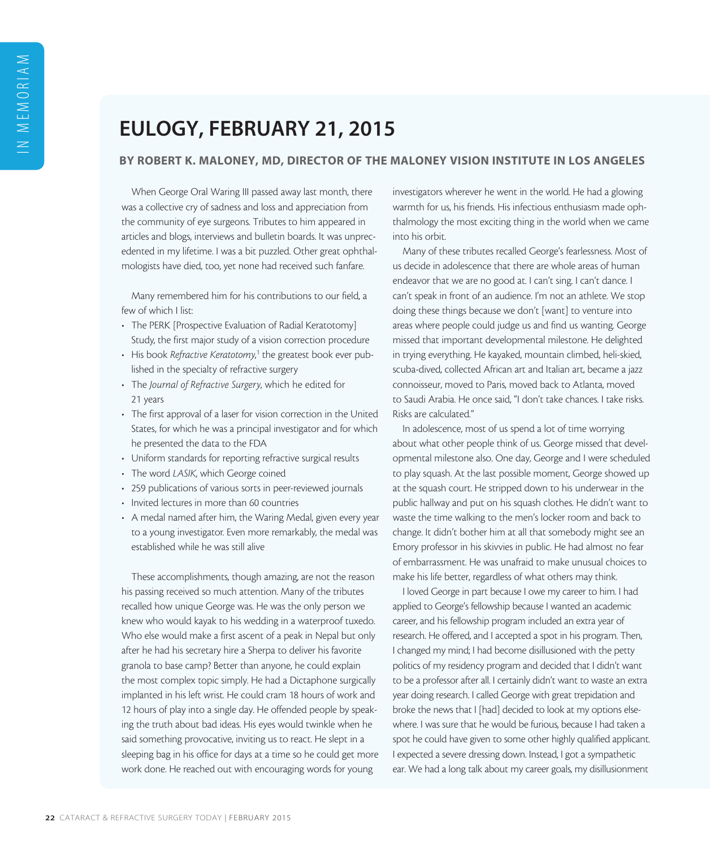# EULOGY, FEBRUARY 21, 2015

# BY ROBERT K. MALONEY, MD, DIRECTOR OF THE MALONEY VISION INSTITUTE IN LOS ANGELES

When George Oral Waring III passed away last month, there was a collective cry of sadness and loss and appreciation from the community of eye surgeons. Tributes to him appeared in articles and blogs, interviews and bulletin boards. It was unprecedented in my lifetime. I was a bit puzzled. Other great ophthalmologists have died, too, yet none had received such fanfare.

Many remembered him for his contributions to our field, a few of which I list:

- The PERK [Prospective Evaluation of Radial Keratotomy] Study, the first major study of a vision correction procedure
- His book *Refractive Keratotomy*,<sup>1</sup> the greatest book ever published in the specialty of refractive surgery
- The *Journal of Refractive Surgery*, which he edited for 21 years
- The first approval of a laser for vision correction in the United States, for which he was a principal investigator and for which he presented the data to the FDA
- Uniform standards for reporting refractive surgical results
- The word *LASIK*, which George coined
- 259 publications of various sorts in peer-reviewed journals
- Invited lectures in more than 60 countries
- A medal named after him, the Waring Medal, given every year to a young investigator. Even more remarkably, the medal was established while he was still alive

These accomplishments, though amazing, are not the reason his passing received so much attention. Many of the tributes recalled how unique George was. He was the only person we knew who would kayak to his wedding in a waterproof tuxedo. Who else would make a first ascent of a peak in Nepal but only after he had his secretary hire a Sherpa to deliver his favorite granola to base camp? Better than anyone, he could explain the most complex topic simply. He had a Dictaphone surgically implanted in his left wrist. He could cram 18 hours of work and 12 hours of play into a single day. He offended people by speaking the truth about bad ideas. His eyes would twinkle when he said something provocative, inviting us to react. He slept in a sleeping bag in his office for days at a time so he could get more work done. He reached out with encouraging words for young

investigators wherever he went in the world. He had a glowing warmth for us, his friends. His infectious enthusiasm made ophthalmology the most exciting thing in the world when we came into his orbit.

Many of these tributes recalled George's fearlessness. Most of us decide in adolescence that there are whole areas of human endeavor that we are no good at. I can't sing. I can't dance. I can't speak in front of an audience. I'm not an athlete. We stop doing these things because we don't [want] to venture into areas where people could judge us and find us wanting. George missed that important developmental milestone. He delighted in trying everything. He kayaked, mountain climbed, heli-skied, scuba-dived, collected African art and Italian art, became a jazz connoisseur, moved to Paris, moved back to Atlanta, moved to Saudi Arabia. He once said, "I don't take chances. I take risks. Risks are calculated."

In adolescence, most of us spend a lot of time worrying about what other people think of us. George missed that developmental milestone also. One day, George and I were scheduled to play squash. At the last possible moment, George showed up at the squash court. He stripped down to his underwear in the public hallway and put on his squash clothes. He didn't want to waste the time walking to the men's locker room and back to change. It didn't bother him at all that somebody might see an Emory professor in his skivvies in public. He had almost no fear of embarrassment. He was unafraid to make unusual choices to make his life better, regardless of what others may think.

I loved George in part because I owe my career to him. I had applied to George's fellowship because I wanted an academic career, and his fellowship program included an extra year of research. He offered, and I accepted a spot in his program. Then, I changed my mind; I had become disillusioned with the petty politics of my residency program and decided that I didn't want to be a professor after all. I certainly didn't want to waste an extra year doing research. I called George with great trepidation and broke the news that I [had] decided to look at my options elsewhere. I was sure that he would be furious, because I had taken a spot he could have given to some other highly qualified applicant. I expected a severe dressing down. Instead, I got a sympathetic ear. We had a long talk about my career goals, my disillusionment